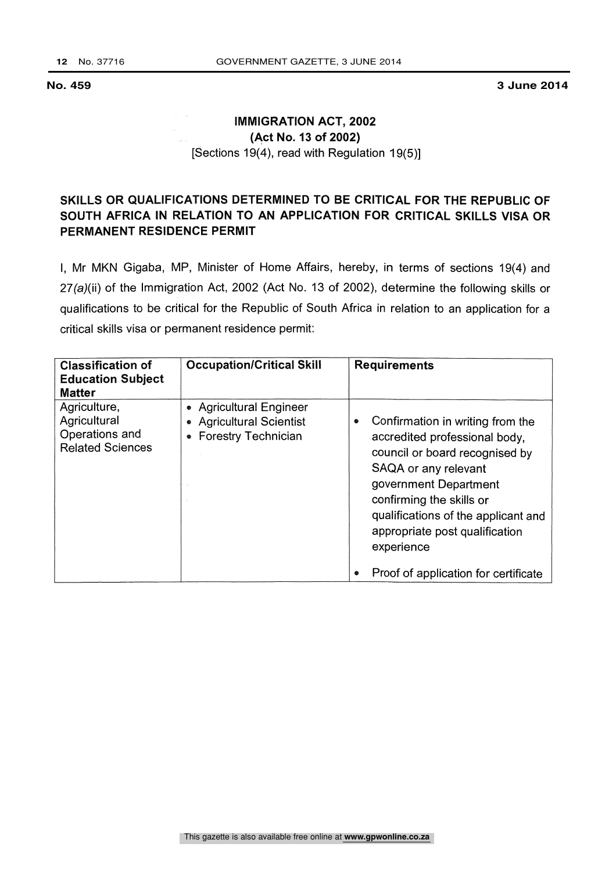**No. 459 3 June 2014**

## IMMIGRATION ACT, 2002 (Act No. 13 of 2002) [Sections 19(4), read with Regulation 19(5)]

## SKILLS OR QUALIFICATIONS DETERMINED TO BE CRITICAL FOR THE REPUBLIC OF SOUTH AFRICA IN RELATION TO AN APPLICATION FOR CRITICAL SKILLS VISA OR PERMANENT RESIDENCE PERMIT

I, Mr MKN Gigaba, MP, Minister of Home Affairs, hereby, in terms of sections 19(4) and 27(a)(ii) of the Immigration Act, 2002 (Act No. 13 of 2002), determine the following skills or qualifications to be critical for the Republic of South Africa in relation to an application for a critical skills visa or permanent residence permit:

| <b>Classification of</b><br><b>Education Subject</b><br><b>Matter</b>     | <b>Occupation/Critical Skill</b>                                                                         | <b>Requirements</b>                                                                                                                                                                                                                                                          |
|---------------------------------------------------------------------------|----------------------------------------------------------------------------------------------------------|------------------------------------------------------------------------------------------------------------------------------------------------------------------------------------------------------------------------------------------------------------------------------|
| Agriculture,<br>Agricultural<br>Operations and<br><b>Related Sciences</b> | • Agricultural Engineer<br><b>Agricultural Scientist</b><br>$\bullet$<br><b>Forestry Technician</b><br>۰ | Confirmation in writing from the<br>۰<br>accredited professional body,<br>council or board recognised by<br>SAQA or any relevant<br>government Department<br>confirming the skills or<br>qualifications of the applicant and<br>appropriate post qualification<br>experience |
|                                                                           |                                                                                                          | Proof of application for certificate                                                                                                                                                                                                                                         |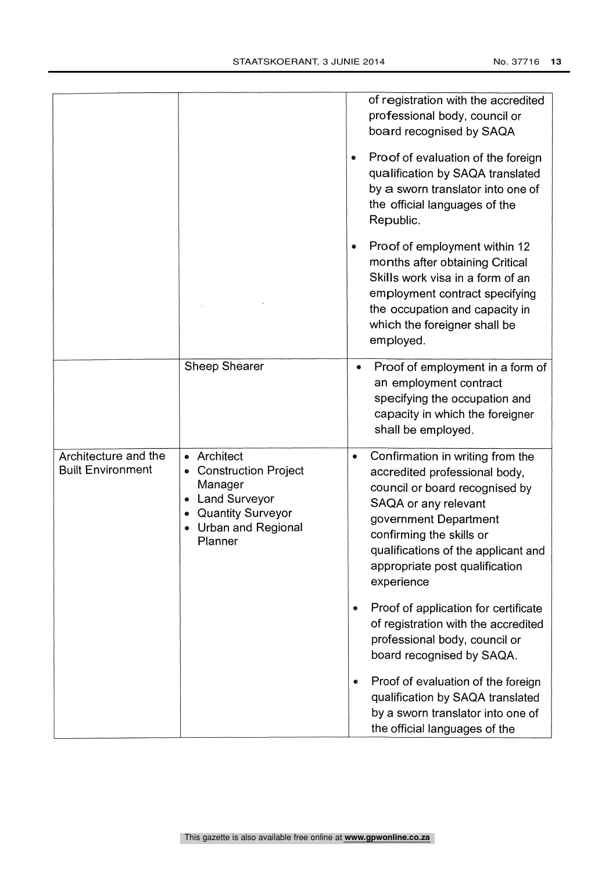|                                                  |                                                                                                                                     | of registration with the accredited<br>professional body, council or<br>board recognised by SAQA<br>Proof of evaluation of the foreign<br>$\bullet$<br>qualification by SAQA translated<br>by a sworn translator into one of<br>the official languages of the<br>Republic. |
|--------------------------------------------------|-------------------------------------------------------------------------------------------------------------------------------------|----------------------------------------------------------------------------------------------------------------------------------------------------------------------------------------------------------------------------------------------------------------------------|
|                                                  |                                                                                                                                     | Proof of employment within 12<br>months after obtaining Critical<br>Skills work visa in a form of an<br>employment contract specifying<br>the occupation and capacity in<br>which the foreigner shall be<br>employed.                                                      |
|                                                  | <b>Sheep Shearer</b>                                                                                                                | Proof of employment in a form of<br>$\bullet$<br>an employment contract<br>specifying the occupation and<br>capacity in which the foreigner<br>shall be employed.                                                                                                          |
| Architecture and the<br><b>Built Environment</b> | Architect<br><b>Construction Project</b><br>Manager<br><b>Land Surveyor</b><br>• Quantity Surveyor<br>Urban and Regional<br>Planner | Confirmation in writing from the<br>accredited professional body,<br>council or board recognised by<br>SAQA or any relevant<br>government Department<br>confirming the skills or<br>qualifications of the applicant and<br>appropriate post qualification<br>experience    |
|                                                  |                                                                                                                                     | Proof of application for certificate<br>۰<br>of registration with the accredited<br>professional body, council or<br>board recognised by SAQA.                                                                                                                             |
|                                                  |                                                                                                                                     | Proof of evaluation of the foreign<br>qualification by SAQA translated<br>by a sworn translator into one of<br>the official languages of the                                                                                                                               |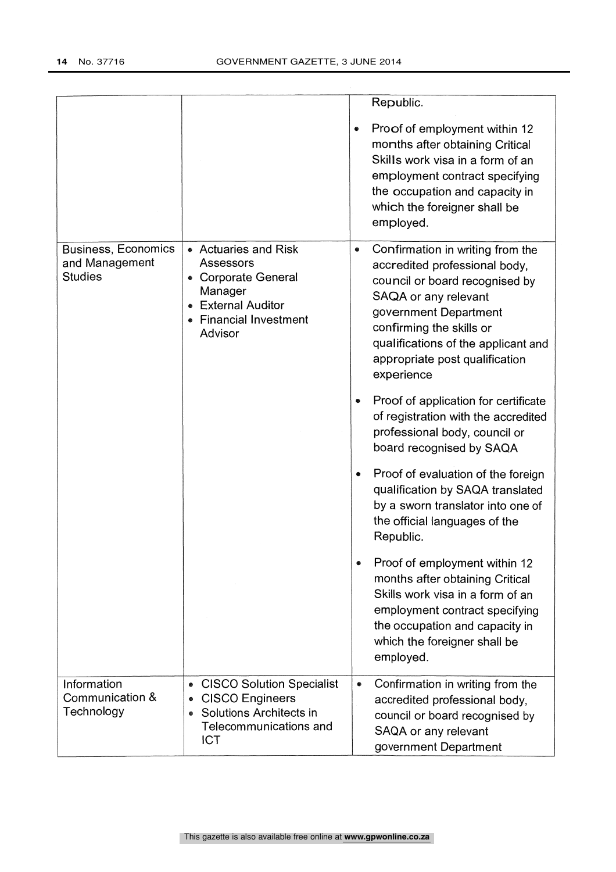|                                                                |                                                                                                                                              | Republic.<br>Proof of employment within 12<br>۰<br>months after obtaining Critical<br>Skills work visa in a form of an<br>employment contract specifying<br>the occupation and capacity in<br>which the foreigner shall be<br>employed.                                              |
|----------------------------------------------------------------|----------------------------------------------------------------------------------------------------------------------------------------------|--------------------------------------------------------------------------------------------------------------------------------------------------------------------------------------------------------------------------------------------------------------------------------------|
| <b>Business, Economics</b><br>and Management<br><b>Studies</b> | • Actuaries and Risk<br>Assessors<br>• Corporate General<br>Manager<br>• External Auditor<br>• Financial Investment<br>Advisor               | Confirmation in writing from the<br>$\bullet$<br>accredited professional body,<br>council or board recognised by<br>SAQA or any relevant<br>government Department<br>confirming the skills or<br>qualifications of the applicant and<br>appropriate post qualification<br>experience |
|                                                                |                                                                                                                                              | Proof of application for certificate<br>of registration with the accredited<br>professional body, council or<br>board recognised by SAQA                                                                                                                                             |
|                                                                |                                                                                                                                              | Proof of evaluation of the foreign<br>qualification by SAQA translated<br>by a sworn translator into one of<br>the official languages of the<br>Republic.                                                                                                                            |
|                                                                |                                                                                                                                              | Proof of employment within 12<br>months after obtaining Critical<br>Skills work visa in a form of an<br>employment contract specifying<br>the occupation and capacity in<br>which the foreigner shall be<br>employed.                                                                |
| Information<br>Communication &<br>Technology                   | <b>CISCO Solution Specialist</b><br>۰<br><b>CISCO Engineers</b><br>۰<br>Solutions Architects in<br>۰<br>Telecommunications and<br><b>ICT</b> | Confirmation in writing from the<br>۰<br>accredited professional body,<br>council or board recognised by<br>SAQA or any relevant<br>government Department                                                                                                                            |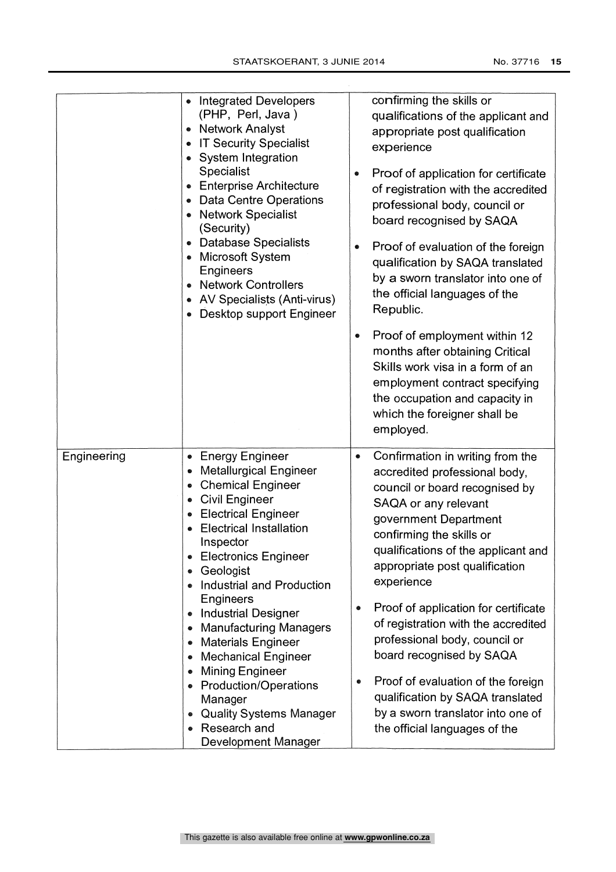|             | <b>Integrated Developers</b><br>(PHP, Perl, Java)<br>• Network Analyst<br>• IT Security Specialist<br>System Integration<br>Specialist<br><b>Enterprise Architecture</b><br>• Data Centre Operations<br><b>Network Specialist</b><br>(Security)<br>• Database Specialists<br>Microsoft System<br>Engineers<br><b>Network Controllers</b><br>• AV Specialists (Anti-virus)<br>Desktop support Engineer                                                                                                                                                                       | confirming the skills or<br>qualifications of the applicant and<br>appropriate post qualification<br>experience<br>Proof of application for certificate<br>of registration with the accredited<br>professional body, council or<br>board recognised by SAQA<br>Proof of evaluation of the foreign<br>qualification by SAQA translated<br>by a sworn translator into one of<br>the official languages of the<br>Republic.<br>Proof of employment within 12<br>۰<br>months after obtaining Critical<br>Skills work visa in a form of an<br>employment contract specifying<br>the occupation and capacity in<br>which the foreigner shall be<br>employed. |
|-------------|-----------------------------------------------------------------------------------------------------------------------------------------------------------------------------------------------------------------------------------------------------------------------------------------------------------------------------------------------------------------------------------------------------------------------------------------------------------------------------------------------------------------------------------------------------------------------------|--------------------------------------------------------------------------------------------------------------------------------------------------------------------------------------------------------------------------------------------------------------------------------------------------------------------------------------------------------------------------------------------------------------------------------------------------------------------------------------------------------------------------------------------------------------------------------------------------------------------------------------------------------|
| Engineering | <b>Energy Engineer</b><br><b>Metallurgical Engineer</b><br><b>Chemical Engineer</b><br>۰<br><b>Civil Engineer</b><br>۰<br><b>Electrical Engineer</b><br><b>Electrical Installation</b><br>Inspector<br><b>Electronics Engineer</b><br>Geologist<br>۰<br>Industrial and Production<br>Engineers<br><b>Industrial Designer</b><br><b>Manufacturing Managers</b><br><b>Materials Engineer</b><br><b>Mechanical Engineer</b><br>Mining Engineer<br><b>Production/Operations</b><br>Manager<br><b>Quality Systems Manager</b><br>۰<br>Research and<br><b>Development Manager</b> | Confirmation in writing from the<br>۰<br>accredited professional body,<br>council or board recognised by<br>SAQA or any relevant<br>government Department<br>confirming the skills or<br>qualifications of the applicant and<br>appropriate post qualification<br>experience<br>Proof of application for certificate<br>$\bullet$<br>of registration with the accredited<br>professional body, council or<br>board recognised by SAQA<br>Proof of evaluation of the foreign<br>●<br>qualification by SAQA translated<br>by a sworn translator into one of<br>the official languages of the                                                             |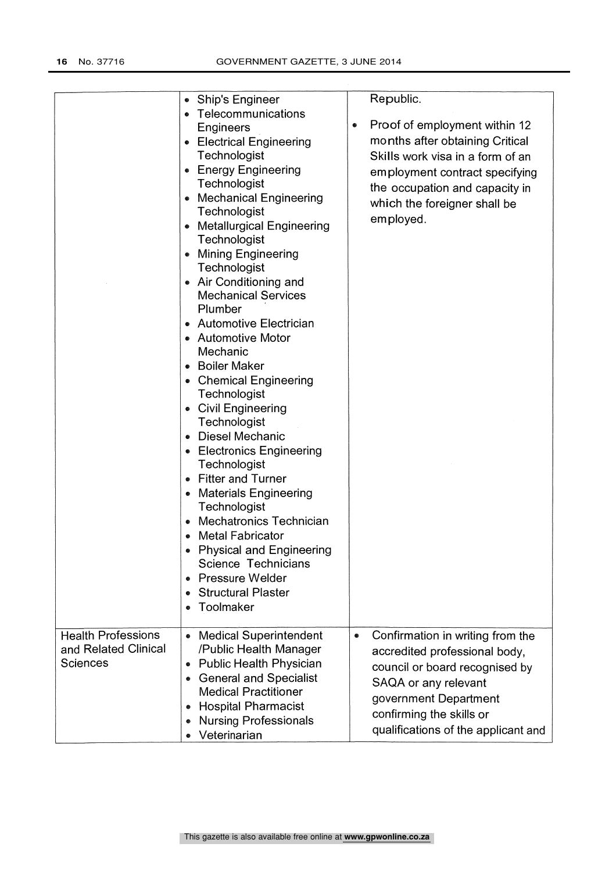|                                                                      | • Ship's Engineer<br>• Telecommunications<br><b>Engineers</b><br>• Electrical Engineering<br>Technologist<br>• Energy Engineering<br>Technologist<br>• Mechanical Engineering<br>Technologist<br>• Metallurgical Engineering<br>Technologist<br>• Mining Engineering<br>Technologist<br>• Air Conditioning and<br><b>Mechanical Services</b><br>Plumber<br>• Automotive Electrician<br>• Automotive Motor<br>Mechanic<br><b>Boiler Maker</b><br><b>Chemical Engineering</b><br>Technologist<br>• Civil Engineering<br>Technologist<br>Diesel Mechanic<br>• Electronics Engineering<br>Technologist<br><b>Fitter and Turner</b><br><b>Materials Engineering</b><br>Technologist<br><b>Mechatronics Technician</b><br><b>Metal Fabricator</b><br><b>Physical and Engineering</b><br>Science Technicians<br><b>Pressure Welder</b><br><b>Structural Plaster</b><br>Toolmaker | Republic.<br>Proof of employment within 12<br>۰<br>months after obtaining Critical<br>Skills work visa in a form of an<br>employment contract specifying<br>the occupation and capacity in<br>which the foreigner shall be<br>employed. |
|----------------------------------------------------------------------|---------------------------------------------------------------------------------------------------------------------------------------------------------------------------------------------------------------------------------------------------------------------------------------------------------------------------------------------------------------------------------------------------------------------------------------------------------------------------------------------------------------------------------------------------------------------------------------------------------------------------------------------------------------------------------------------------------------------------------------------------------------------------------------------------------------------------------------------------------------------------|-----------------------------------------------------------------------------------------------------------------------------------------------------------------------------------------------------------------------------------------|
| <b>Health Professions</b><br>and Related Clinical<br><b>Sciences</b> | <b>Medical Superintendent</b><br>/Public Health Manager<br><b>Public Health Physician</b><br><b>General and Specialist</b><br>$\bullet$<br><b>Medical Practitioner</b><br><b>Hospital Pharmacist</b><br><b>Nursing Professionals</b><br>Veterinarian                                                                                                                                                                                                                                                                                                                                                                                                                                                                                                                                                                                                                      | Confirmation in writing from the<br>۰<br>accredited professional body,<br>council or board recognised by<br>SAQA or any relevant<br>government Department<br>confirming the skills or<br>qualifications of the applicant and            |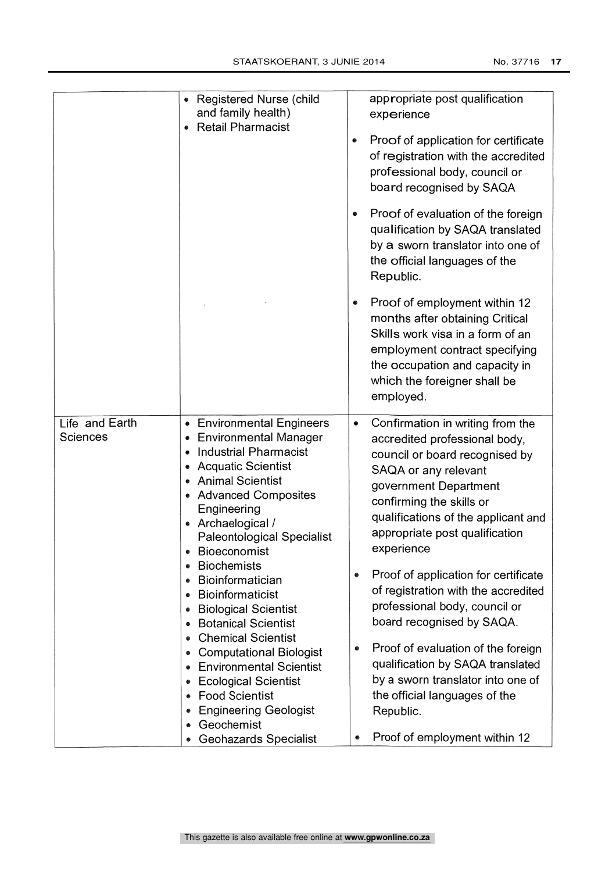| No. 37716 |  |
|-----------|--|
|           |  |

|                                   | • Registered Nurse (child<br>and family health)<br>• Retail Pharmacist                                                                                                                                                                                                                                | appropriate post qualification<br>experience<br>Proof of application for certificate<br>۰<br>of registration with the accredited<br>professional body, council or<br>board recognised by SAQA<br>Proof of evaluation of the foreign<br>۰<br>qualification by SAQA translated                                                      |
|-----------------------------------|-------------------------------------------------------------------------------------------------------------------------------------------------------------------------------------------------------------------------------------------------------------------------------------------------------|-----------------------------------------------------------------------------------------------------------------------------------------------------------------------------------------------------------------------------------------------------------------------------------------------------------------------------------|
|                                   |                                                                                                                                                                                                                                                                                                       | by a sworn translator into one of<br>the official languages of the<br>Republic.                                                                                                                                                                                                                                                   |
|                                   |                                                                                                                                                                                                                                                                                                       | Proof of employment within 12<br>$\bullet$<br>months after obtaining Critical<br>Skills work visa in a form of an<br>employment contract specifying<br>the occupation and capacity in<br>which the foreigner shall be<br>employed.                                                                                                |
| Life and Earth<br><b>Sciences</b> | <b>Environmental Engineers</b><br>۰<br>• Environmental Manager<br><b>Industrial Pharmacist</b><br><b>Acquatic Scientist</b><br><b>Animal Scientist</b><br>• Advanced Composites<br>Engineering<br>• Archaelogical /<br><b>Paleontological Specialist</b><br><b>Bioeconomist</b><br><b>Biochemists</b> | Confirmation in writing from the<br>$\bullet$<br>accredited professional body,<br>council or board recognised by<br>SAQA or any relevant<br>government Department<br>confirming the skills or<br>qualifications of the applicant and<br>appropriate post qualification<br>experience<br>Proof of application for certificate<br>۰ |
|                                   | Bioinformatician<br><b>Bioinformaticist</b><br><b>Biological Scientist</b><br><b>Botanical Scientist</b>                                                                                                                                                                                              | of registration with the accredited<br>professional body, council or<br>board recognised by SAQA.                                                                                                                                                                                                                                 |
|                                   | <b>Chemical Scientist</b><br><b>Computational Biologist</b><br><b>Environmental Scientist</b><br><b>Ecological Scientist</b><br><b>Food Scientist</b><br><b>Engineering Geologist</b><br>Geochemist<br><b>Geohazards Specialist</b>                                                                   | Proof of evaluation of the foreign<br>qualification by SAQA translated<br>by a sworn translator into one of<br>the official languages of the<br>Republic.<br>Proof of employment within 12<br>۰                                                                                                                                   |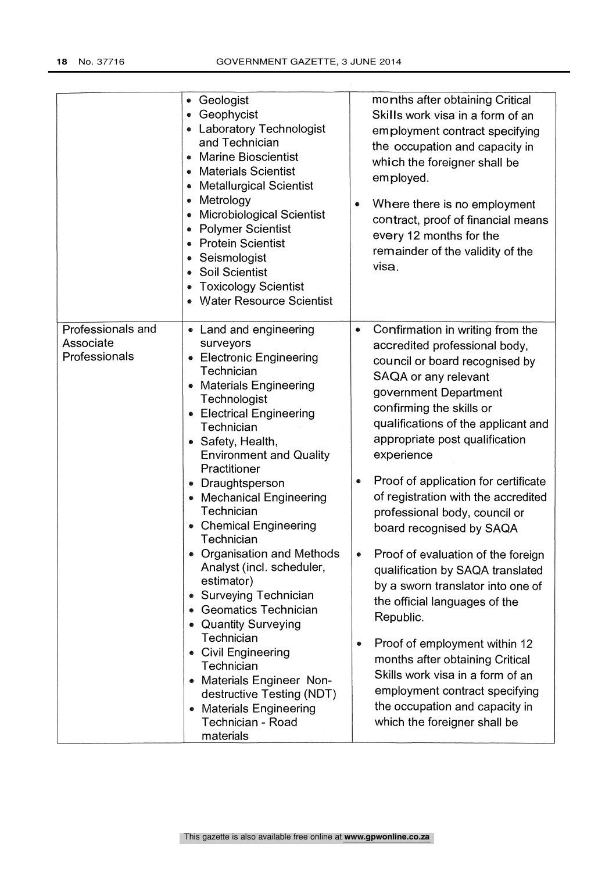|                                                 | • Geologist<br>• Geophycist<br>• Laboratory Technologist<br>and Technician<br><b>Marine Bioscientist</b><br><b>Materials Scientist</b><br><b>Metallurgical Scientist</b><br>Metrology<br><b>Microbiological Scientist</b><br><b>Polymer Scientist</b><br><b>Protein Scientist</b><br>Seismologist<br><b>Soil Scientist</b><br><b>Toxicology Scientist</b><br>• Water Resource Scientist                                                                                                                                                                                                                                                                                                                                                                  | months after obtaining Critical<br>Skills work visa in a form of an<br>employment contract specifying<br>the occupation and capacity in<br>which the foreigner shall be<br>employed.<br>Where there is no employment<br>contract, proof of financial means<br>every 12 months for the<br>remainder of the validity of the<br>visa.                                                                                                                                                                                                                                                                                                                                                                                                                                                                     |
|-------------------------------------------------|----------------------------------------------------------------------------------------------------------------------------------------------------------------------------------------------------------------------------------------------------------------------------------------------------------------------------------------------------------------------------------------------------------------------------------------------------------------------------------------------------------------------------------------------------------------------------------------------------------------------------------------------------------------------------------------------------------------------------------------------------------|--------------------------------------------------------------------------------------------------------------------------------------------------------------------------------------------------------------------------------------------------------------------------------------------------------------------------------------------------------------------------------------------------------------------------------------------------------------------------------------------------------------------------------------------------------------------------------------------------------------------------------------------------------------------------------------------------------------------------------------------------------------------------------------------------------|
| Professionals and<br>Associate<br>Professionals | • Land and engineering<br>surveyors<br><b>Electronic Engineering</b><br>Technician<br><b>Materials Engineering</b><br>Technologist<br>• Electrical Engineering<br>Technician<br>• Safety, Health,<br><b>Environment and Quality</b><br>Practitioner<br>Draughtsperson<br>$\bullet$<br><b>Mechanical Engineering</b><br>Technician<br><b>Chemical Engineering</b><br>Technician<br>• Organisation and Methods<br>Analyst (incl. scheduler,<br>estimator)<br><b>Surveying Technician</b><br>۰<br><b>Geomatics Technician</b><br>$\bullet$<br><b>Quantity Surveying</b><br>Technician<br>• Civil Engineering<br>Technician<br>• Materials Engineer Non-<br>destructive Testing (NDT)<br><b>Materials Engineering</b><br>۰<br>Technician - Road<br>materials | Confirmation in writing from the<br>۰<br>accredited professional body,<br>council or board recognised by<br>SAQA or any relevant<br>government Department<br>confirming the skills or<br>qualifications of the applicant and<br>appropriate post qualification<br>experience<br>Proof of application for certificate<br>of registration with the accredited<br>professional body, council or<br>board recognised by SAQA<br>Proof of evaluation of the foreign<br>qualification by SAQA translated<br>by a sworn translator into one of<br>the official languages of the<br>Republic.<br>Proof of employment within 12<br>●<br>months after obtaining Critical<br>Skills work visa in a form of an<br>employment contract specifying<br>the occupation and capacity in<br>which the foreigner shall be |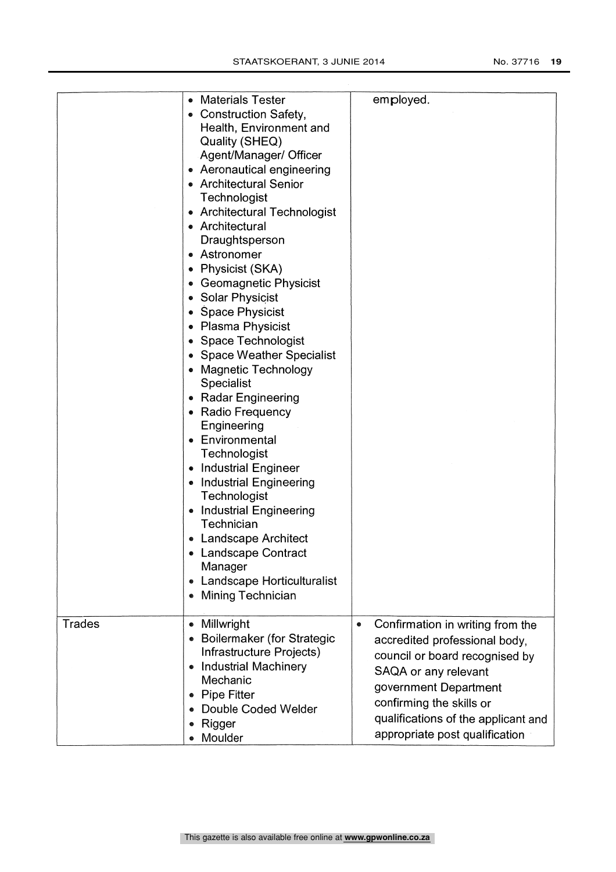|        | • Materials Tester<br>• Construction Safety,<br>Health, Environment and<br>Quality (SHEQ)<br>Agent/Manager/ Officer<br>• Aeronautical engineering<br>• Architectural Senior<br>Technologist<br>• Architectural Technologist<br>• Architectural<br>Draughtsperson<br>• Astronomer<br>Physicist (SKA)<br>۰<br><b>Geomagnetic Physicist</b><br>Solar Physicist<br>۰<br><b>Space Physicist</b><br>Plasma Physicist<br>۰<br>Space Technologist<br><b>Space Weather Specialist</b><br><b>Magnetic Technology</b><br><b>Specialist</b><br><b>Radar Engineering</b><br>۰<br>• Radio Frequency<br>Engineering<br>Environmental<br>۰<br>Technologist<br><b>Industrial Engineer</b><br>۰<br><b>Industrial Engineering</b><br>Technologist<br><b>Industrial Engineering</b><br>$\bullet$<br>Technician<br>• Landscape Architect<br><b>Landscape Contract</b><br>Manager<br>Landscape Horticulturalist<br>۰<br>Mining Technician<br>٠ | employed.                                                                                                                                                                                                                                                              |
|--------|--------------------------------------------------------------------------------------------------------------------------------------------------------------------------------------------------------------------------------------------------------------------------------------------------------------------------------------------------------------------------------------------------------------------------------------------------------------------------------------------------------------------------------------------------------------------------------------------------------------------------------------------------------------------------------------------------------------------------------------------------------------------------------------------------------------------------------------------------------------------------------------------------------------------------|------------------------------------------------------------------------------------------------------------------------------------------------------------------------------------------------------------------------------------------------------------------------|
| Trades | Millwright<br>$\bullet$<br><b>Boilermaker (for Strategic</b><br>Infrastructure Projects)<br><b>Industrial Machinery</b><br>$\bullet$<br>Mechanic<br><b>Pipe Fitter</b><br>۰<br>Double Coded Welder<br>Rigger<br>۰<br>Moulder                                                                                                                                                                                                                                                                                                                                                                                                                                                                                                                                                                                                                                                                                             | Confirmation in writing from the<br>$\bullet$<br>accredited professional body,<br>council or board recognised by<br>SAQA or any relevant<br>government Department<br>confirming the skills or<br>qualifications of the applicant and<br>appropriate post qualification |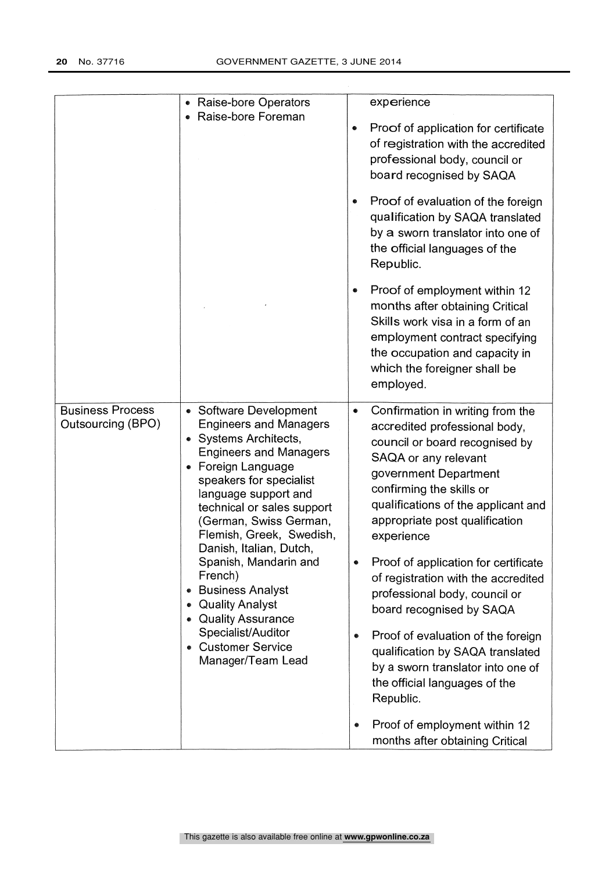|                                              | • Raise-bore Operators<br>Raise-bore Foreman                                                                                                                                                                                                                                                                                                                                                                                                                                                                 | experience<br>Proof of application for certificate<br>of registration with the accredited<br>professional body, council or<br>board recognised by SAQA<br>Proof of evaluation of the foreign<br>qualification by SAQA translated<br>by a sworn translator into one of<br>the official languages of the<br>Republic.<br>Proof of employment within 12<br>months after obtaining Critical<br>Skills work visa in a form of an<br>employment contract specifying<br>the occupation and capacity in<br>which the foreigner shall be<br>employed.                                                                                                                   |
|----------------------------------------------|--------------------------------------------------------------------------------------------------------------------------------------------------------------------------------------------------------------------------------------------------------------------------------------------------------------------------------------------------------------------------------------------------------------------------------------------------------------------------------------------------------------|----------------------------------------------------------------------------------------------------------------------------------------------------------------------------------------------------------------------------------------------------------------------------------------------------------------------------------------------------------------------------------------------------------------------------------------------------------------------------------------------------------------------------------------------------------------------------------------------------------------------------------------------------------------|
| <b>Business Process</b><br>Outsourcing (BPO) | <b>Software Development</b><br>$\bullet$<br><b>Engineers and Managers</b><br>• Systems Architects,<br><b>Engineers and Managers</b><br>• Foreign Language<br>speakers for specialist<br>language support and<br>technical or sales support<br>(German, Swiss German,<br>Flemish, Greek, Swedish,<br>Danish, Italian, Dutch,<br>Spanish, Mandarin and<br>French)<br><b>Business Analyst</b><br><b>Quality Analyst</b><br>• Quality Assurance<br>Specialist/Auditor<br>• Customer Service<br>Manager/Team Lead | Confirmation in writing from the<br>۰<br>accredited professional body,<br>council or board recognised by<br>SAQA or any relevant<br>government Department<br>confirming the skills or<br>qualifications of the applicant and<br>appropriate post qualification<br>experience<br>Proof of application for certificate<br>of registration with the accredited<br>professional body, council or<br>board recognised by SAQA<br>Proof of evaluation of the foreign<br>۰<br>qualification by SAQA translated<br>by a sworn translator into one of<br>the official languages of the<br>Republic.<br>Proof of employment within 12<br>months after obtaining Critical |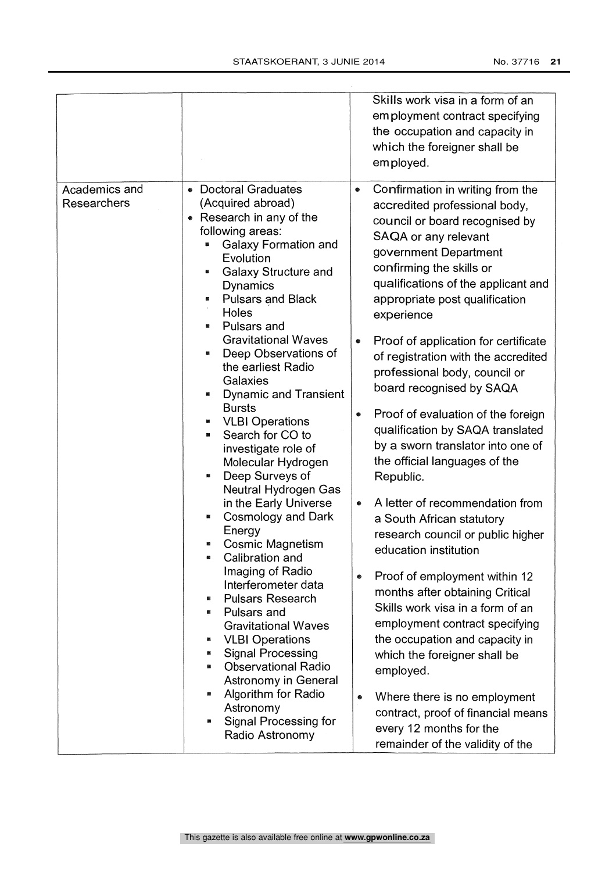|                              |                                                                                                                                                                                                                                                                                                                                                                                                                                                                                                                                                                                                                                                                                                                                                                                                                                                                                                                                                                     | Skills work visa in a form of an<br>employment contract specifying<br>the occupation and capacity in<br>which the foreigner shall be<br>employed.                                                                                                                                                                                                                                                                                                                                                                                                                                                                                                                                                                                                                                                                                                                                                                                                                                                                                                                                                                  |
|------------------------------|---------------------------------------------------------------------------------------------------------------------------------------------------------------------------------------------------------------------------------------------------------------------------------------------------------------------------------------------------------------------------------------------------------------------------------------------------------------------------------------------------------------------------------------------------------------------------------------------------------------------------------------------------------------------------------------------------------------------------------------------------------------------------------------------------------------------------------------------------------------------------------------------------------------------------------------------------------------------|--------------------------------------------------------------------------------------------------------------------------------------------------------------------------------------------------------------------------------------------------------------------------------------------------------------------------------------------------------------------------------------------------------------------------------------------------------------------------------------------------------------------------------------------------------------------------------------------------------------------------------------------------------------------------------------------------------------------------------------------------------------------------------------------------------------------------------------------------------------------------------------------------------------------------------------------------------------------------------------------------------------------------------------------------------------------------------------------------------------------|
| Academics and<br>Researchers | <b>Doctoral Graduates</b><br>٠<br>(Acquired abroad)<br>Research in any of the<br>$\bullet$<br>following areas:<br>Galaxy Formation and<br>Evolution<br><b>Galaxy Structure and</b><br><b>Dynamics</b><br><b>Pulsars and Black</b><br>Holes<br>Pulsars and<br><b>Gravitational Waves</b><br>Deep Observations of<br>the earliest Radio<br>Galaxies<br><b>Dynamic and Transient</b><br><b>Bursts</b><br><b>VLBI Operations</b><br>Search for CO to<br>investigate role of<br>Molecular Hydrogen<br>Deep Surveys of<br>翳<br>Neutral Hydrogen Gas<br>in the Early Universe<br>Cosmology and Dark<br>Energy<br><b>Cosmic Magnetism</b><br>Calibration and<br>Imaging of Radio<br>Interferometer data<br><b>Pulsars Research</b><br>Pulsars and<br><b>Gravitational Waves</b><br><b>VLBI Operations</b><br><b>Signal Processing</b><br><b>Observational Radio</b><br>Astronomy in General<br>Algorithm for Radio<br>Astronomy<br>Signal Processing for<br>Radio Astronomy | Confirmation in writing from the<br>۰<br>accredited professional body,<br>council or board recognised by<br>SAQA or any relevant<br>government Department<br>confirming the skills or<br>qualifications of the applicant and<br>appropriate post qualification<br>experience<br>Proof of application for certificate<br>●<br>of registration with the accredited<br>professional body, council or<br>board recognised by SAQA<br>Proof of evaluation of the foreign<br>$\bullet$<br>qualification by SAQA translated<br>by a sworn translator into one of<br>the official languages of the<br>Republic.<br>A letter of recommendation from<br>۰<br>a South African statutory<br>research council or public higher<br>education institution<br>Proof of employment within 12<br>۰<br>months after obtaining Critical<br>Skills work visa in a form of an<br>employment contract specifying<br>the occupation and capacity in<br>which the foreigner shall be<br>employed.<br>Where there is no employment<br>۰<br>contract, proof of financial means<br>every 12 months for the<br>remainder of the validity of the |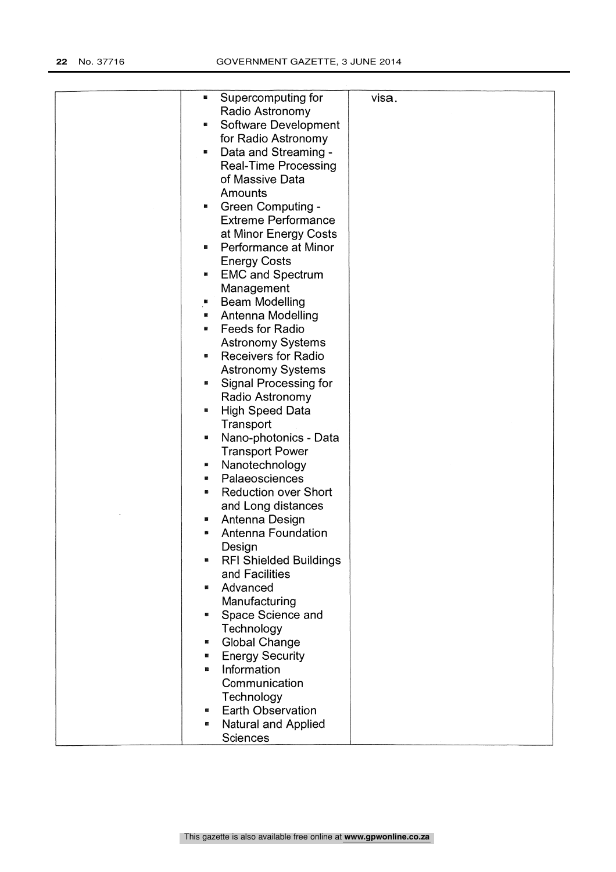| Supercomputing for<br>×.            | visa. |
|-------------------------------------|-------|
| Radio Astronomy                     |       |
| Software Development<br>Ø.          |       |
| for Radio Astronomy                 |       |
| Data and Streaming -<br>×           |       |
|                                     |       |
| <b>Real-Time Processing</b>         |       |
| of Massive Data                     |       |
| Amounts                             |       |
| <b>Green Computing -</b><br>×       |       |
| <b>Extreme Performance</b>          |       |
| at Minor Energy Costs               |       |
| a.                                  |       |
| Performance at Minor                |       |
| <b>Energy Costs</b>                 |       |
| <b>EMC and Spectrum</b><br>a.       |       |
| Management                          |       |
| <b>Beam Modelling</b>               |       |
| Antenna Modelling<br>E.             |       |
| <b>Feeds for Radio</b><br>N.        |       |
| <b>Astronomy Systems</b>            |       |
| <b>Receivers for Radio</b><br>e.    |       |
|                                     |       |
| <b>Astronomy Systems</b>            |       |
| Signal Processing for<br>廱          |       |
| Radio Astronomy                     |       |
| <b>High Speed Data</b><br>鵩         |       |
| Transport                           |       |
| Nano-photonics - Data<br>ø          |       |
| <b>Transport Power</b>              |       |
| Nanotechnology<br>圝                 |       |
|                                     |       |
| Palaeosciences<br>E.                |       |
| <b>Reduction over Short</b><br>麟    |       |
| and Long distances                  |       |
| Antenna Design<br>в                 |       |
| Antenna Foundation<br>ø             |       |
| Design                              |       |
| <b>RFI Shielded Buildings</b><br>B. |       |
| and Facilities                      |       |
| Advanced<br>摑                       |       |
|                                     |       |
| Manufacturing                       |       |
| Space Science and<br>圝              |       |
| Technology                          |       |
| <b>Global Change</b><br>篋           |       |
| <b>Energy Security</b><br>醫         |       |
| Information<br>醠                    |       |
| Communication                       |       |
| Technology                          |       |
| <b>Earth Observation</b>            |       |
| æ                                   |       |
| Natural and Applied                 |       |
| <b>Sciences</b>                     |       |